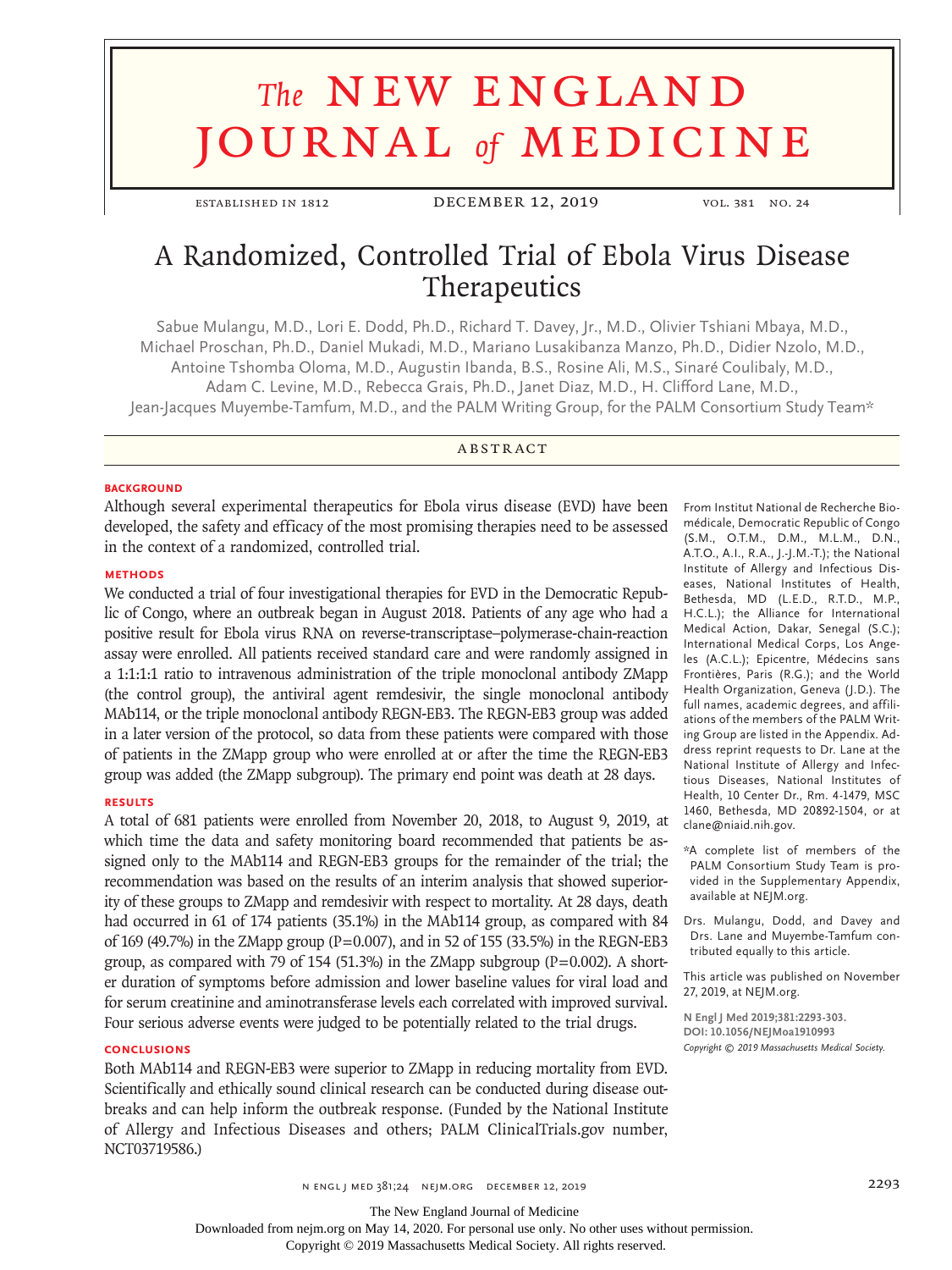# **The NEW ENGLAND** journal *of* medicine

established in 1812 December 12, 2019 vol. 381 no. 24

# A Randomized, Controlled Trial of Ebola Virus Disease Therapeutics

Sabue Mulangu, M.D., Lori E. Dodd, Ph.D., Richard T. Davey, Jr., M.D., Olivier Tshiani Mbaya, M.D., Michael Proschan, Ph.D., Daniel Mukadi, M.D., Mariano Lusakibanza Manzo, Ph.D., Didier Nzolo, M.D., Antoine Tshomba Oloma, M.D., Augustin Ibanda, B.S., Rosine Ali, M.S., Sinaré Coulibaly, M.D., Adam C. Levine, M.D., Rebecca Grais, Ph.D., Janet Diaz, M.D., H. Clifford Lane, M.D., Jean-Jacques Muyembe-Tamfum, M.D., and the PALM Writing Group, for the PALM Consortium Study Team\*

## **ABSTRACT**

#### **BACKGROUND**

Although several experimental therapeutics for Ebola virus disease (EVD) have been developed, the safety and efficacy of the most promising therapies need to be assessed in the context of a randomized, controlled trial.

#### **METHODS**

We conducted a trial of four investigational therapies for EVD in the Democratic Republic of Congo, where an outbreak began in August 2018. Patients of any age who had a positive result for Ebola virus RNA on reverse-transcriptase–polymerase-chain-reaction assay were enrolled. All patients received standard care and were randomly assigned in a 1:1:1:1 ratio to intravenous administration of the triple monoclonal antibody ZMapp (the control group), the antiviral agent remdesivir, the single monoclonal antibody MAb114, or the triple monoclonal antibody REGN-EB3. The REGN-EB3 group was added in a later version of the protocol, so data from these patients were compared with those of patients in the ZMapp group who were enrolled at or after the time the REGN-EB3 group was added (the ZMapp subgroup). The primary end point was death at 28 days.

#### **RESULTS**

A total of 681 patients were enrolled from November 20, 2018, to August 9, 2019, at which time the data and safety monitoring board recommended that patients be assigned only to the MAb114 and REGN-EB3 groups for the remainder of the trial; the recommendation was based on the results of an interim analysis that showed superiority of these groups to ZMapp and remdesivir with respect to mortality. At 28 days, death had occurred in 61 of 174 patients (35.1%) in the MAb114 group, as compared with 84 of 169 (49.7%) in the ZMapp group (P=0.007), and in 52 of 155 (33.5%) in the REGN-EB3 group, as compared with 79 of 154 (51.3%) in the ZMapp subgroup  $(P=0.002)$ . A shorter duration of symptoms before admission and lower baseline values for viral load and for serum creatinine and aminotransferase levels each correlated with improved survival. Four serious adverse events were judged to be potentially related to the trial drugs.

#### **CONCLUSIONS**

Both MAb114 and REGN-EB3 were superior to ZMapp in reducing mortality from EVD. Scientifically and ethically sound clinical research can be conducted during disease outbreaks and can help inform the outbreak response. (Funded by the National Institute of Allergy and Infectious Diseases and others; PALM ClinicalTrials.gov number, NCT03719586.)

From Institut National de Recherche Biomédicale, Democratic Republic of Congo (S.M., O.T.M., D.M., M.L.M., D.N., A.T.O., A.I., R.A., J.-J.M.-T.); the National Institute of Allergy and Infectious Diseases, National Institutes of Health, Bethesda, MD (L.E.D., R.T.D., M.P., H.C.L.); the Alliance for International Medical Action, Dakar, Senegal (S.C.); International Medical Corps, Los Angeles (A.C.L.); Epicentre, Médecins sans Frontières, Paris (R.G.); and the World Health Organization, Geneva (J.D.). The full names, academic degrees, and affiliations of the members of the PALM Writing Group are listed in the Appendix. Address reprint requests to Dr. Lane at the National Institute of Allergy and Infectious Diseases, National Institutes of Health, 10 Center Dr., Rm. 4-1479, MSC 1460, Bethesda, MD 20892-1504, or at clane@niaid.nih.gov.

\*A complete list of members of the PALM Consortium Study Team is provided in the Supplementary Appendix, available at NEJM.org.

Drs. Mulangu, Dodd, and Davey and Drs. Lane and Muyembe-Tamfum contributed equally to this article.

This article was published on November 27, 2019, at NEJM.org.

**N Engl J Med 2019;381:2293-303. DOI: 10.1056/NEJMoa1910993** *Copyright © 2019 Massachusetts Medical Society.*

The New England Journal of Medicine

Downloaded from nejm.org on May 14, 2020. For personal use only. No other uses without permission.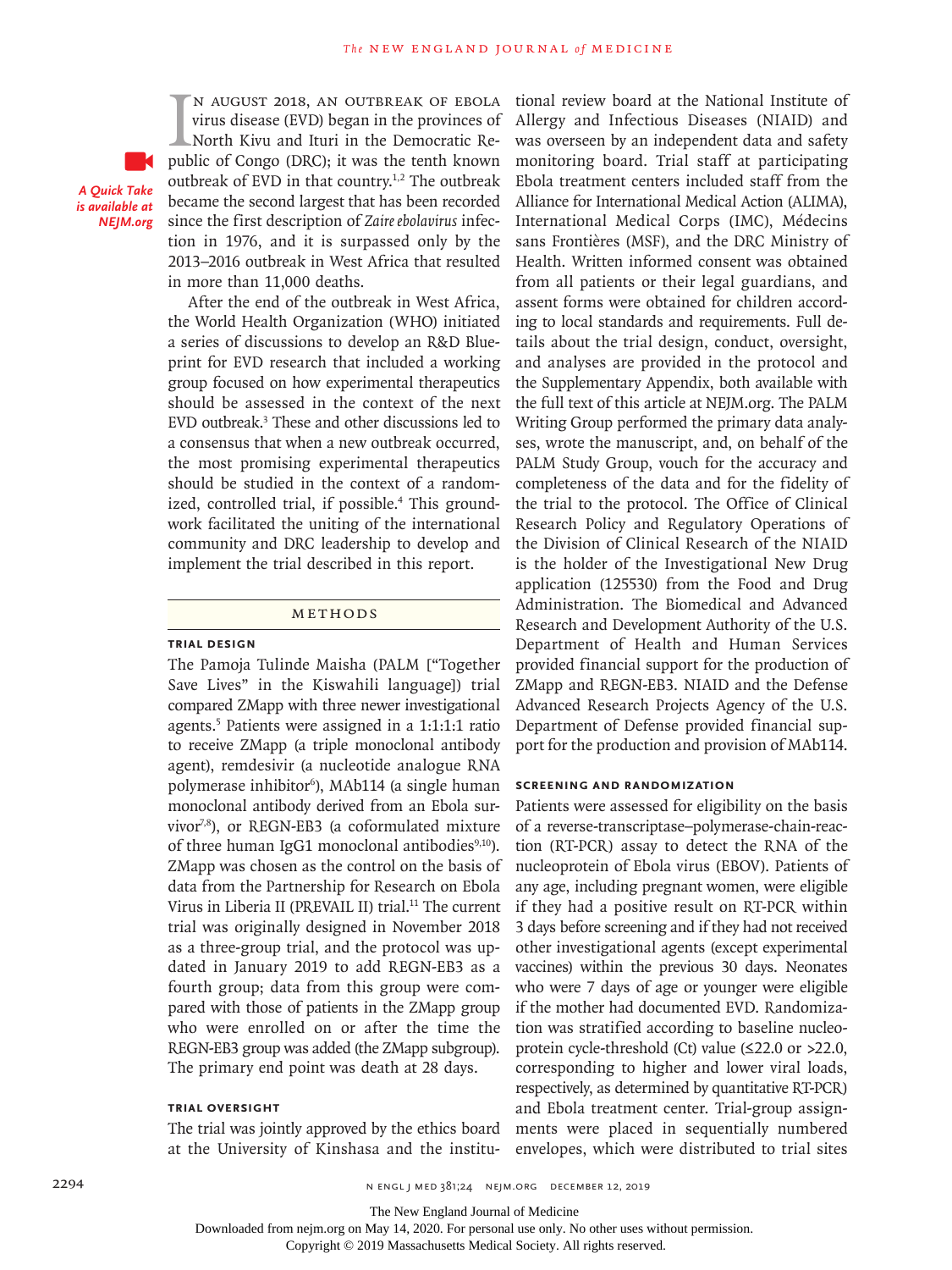IN AUGUST 2018, AN OUTBREAK OF EBOLA<br>virus disease (EVD) began in the provinces of<br>North Kivu and Ituri in the Democratic Re-<br>public of Congo (DRC); it was the tenth known n August 2018, an outbreak of Ebola virus disease (EVD) began in the provinces of North Kivu and Ituri in the Democratic Reoutbreak of EVD in that country.<sup>1,2</sup> The outbreak became the second largest that has been recorded since the first description of *Zaire ebolavirus* infection in 1976, and it is surpassed only by the 2013–2016 outbreak in West Africa that resulted in more than 11,000 deaths.

After the end of the outbreak in West Africa, the World Health Organization (WHO) initiated a series of discussions to develop an R&D Blueprint for EVD research that included a working group focused on how experimental therapeutics should be assessed in the context of the next EVD outbreak.3 These and other discussions led to a consensus that when a new outbreak occurred, the most promising experimental therapeutics should be studied in the context of a randomized, controlled trial, if possible.<sup>4</sup> This groundwork facilitated the uniting of the international community and DRC leadership to develop and implement the trial described in this report.

#### Methods

#### **Trial Design**

*A Quick Take is available at NEJM.org*

> The Pamoja Tulinde Maisha (PALM ["Together Save Lives" in the Kiswahili language]) trial compared ZMapp with three newer investigational agents.5 Patients were assigned in a 1:1:1:1 ratio to receive ZMapp (a triple monoclonal antibody agent), remdesivir (a nucleotide analogue RNA polymerase inhibitor<sup>6</sup>), MAb114 (a single human monoclonal antibody derived from an Ebola survivor7,8), or REGN-EB3 (a coformulated mixture of three human IgG1 monoclonal antibodies $9,10$ . ZMapp was chosen as the control on the basis of data from the Partnership for Research on Ebola Virus in Liberia II (PREVAIL II) trial.<sup>11</sup> The current trial was originally designed in November 2018 as a three-group trial, and the protocol was updated in January 2019 to add REGN-EB3 as a fourth group; data from this group were compared with those of patients in the ZMapp group who were enrolled on or after the time the REGN-EB3 group was added (the ZMapp subgroup). The primary end point was death at 28 days.

# **Trial Oversight**

The trial was jointly approved by the ethics board at the University of Kinshasa and the institutional review board at the National Institute of Allergy and Infectious Diseases (NIAID) and was overseen by an independent data and safety monitoring board. Trial staff at participating Ebola treatment centers included staff from the Alliance for International Medical Action (ALIMA), International Medical Corps (IMC), Médecins sans Frontières (MSF), and the DRC Ministry of Health. Written informed consent was obtained from all patients or their legal guardians, and assent forms were obtained for children according to local standards and requirements. Full details about the trial design, conduct, oversight, and analyses are provided in the protocol and the Supplementary Appendix, both available with the full text of this article at NEJM.org. The PALM Writing Group performed the primary data analyses, wrote the manuscript, and, on behalf of the PALM Study Group, vouch for the accuracy and completeness of the data and for the fidelity of the trial to the protocol. The Office of Clinical Research Policy and Regulatory Operations of the Division of Clinical Research of the NIAID is the holder of the Investigational New Drug application (125530) from the Food and Drug Administration. The Biomedical and Advanced Research and Development Authority of the U.S. Department of Health and Human Services provided financial support for the production of ZMapp and REGN-EB3. NIAID and the Defense Advanced Research Projects Agency of the U.S. Department of Defense provided financial support for the production and provision of MAb114.

#### **Screening and Randomization**

Patients were assessed for eligibility on the basis of a reverse-transcriptase–polymerase-chain-reaction (RT-PCR) assay to detect the RNA of the nucleoprotein of Ebola virus (EBOV). Patients of any age, including pregnant women, were eligible if they had a positive result on RT-PCR within 3 days before screening and if they had not received other investigational agents (except experimental vaccines) within the previous 30 days. Neonates who were 7 days of age or younger were eligible if the mother had documented EVD. Randomization was stratified according to baseline nucleoprotein cycle-threshold (Ct) value (≤22.0 or >22.0, corresponding to higher and lower viral loads, respectively, as determined by quantitative RT-PCR) and Ebola treatment center. Trial-group assignments were placed in sequentially numbered envelopes, which were distributed to trial sites

The New England Journal of Medicine

Downloaded from nejm.org on May 14, 2020. For personal use only. No other uses without permission.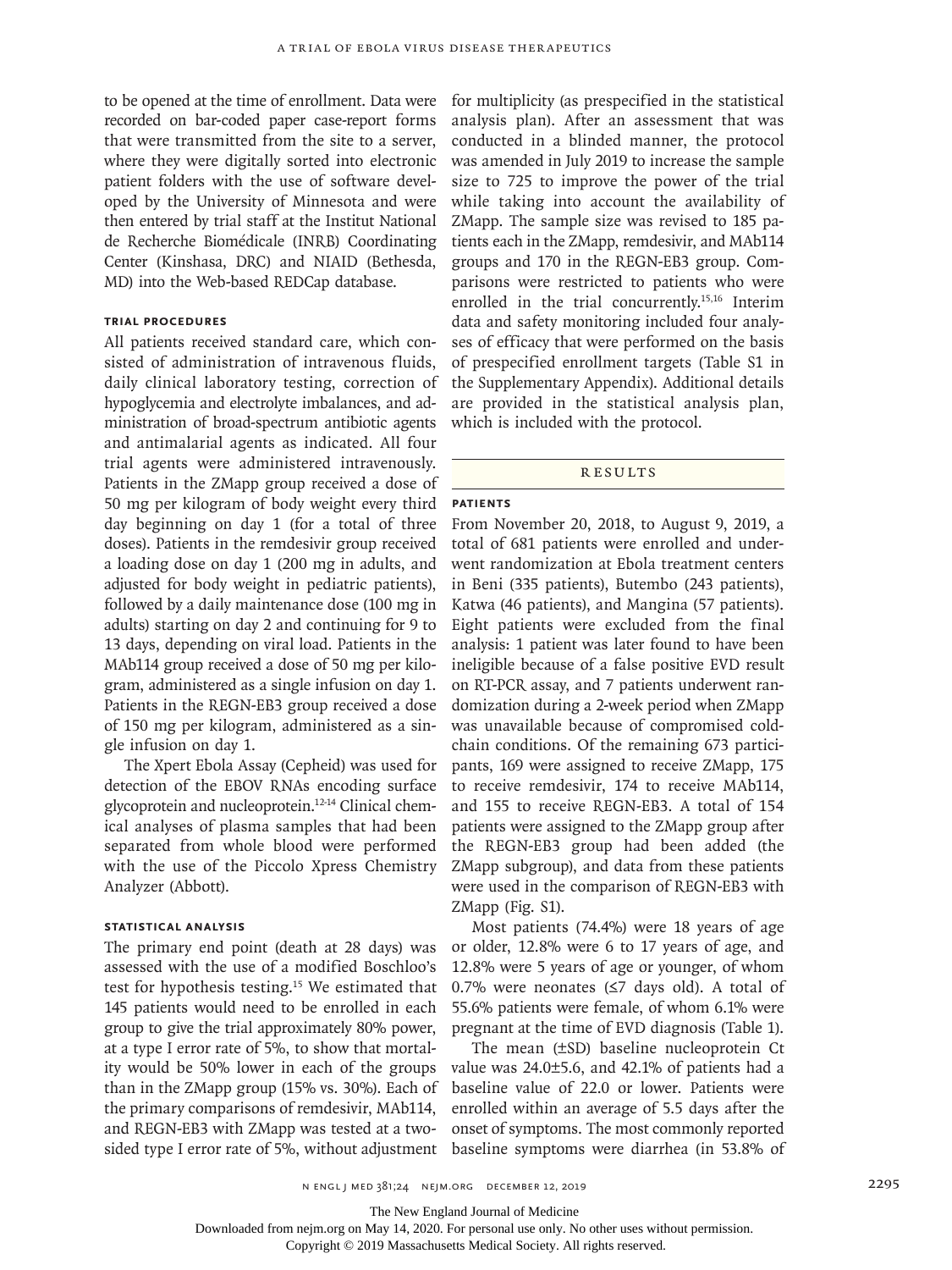to be opened at the time of enrollment. Data were recorded on bar-coded paper case-report forms that were transmitted from the site to a server, where they were digitally sorted into electronic patient folders with the use of software developed by the University of Minnesota and were then entered by trial staff at the Institut National de Recherche Biomédicale (INRB) Coordinating Center (Kinshasa, DRC) and NIAID (Bethesda, MD) into the Web-based REDCap database.

#### **Trial Procedures**

All patients received standard care, which consisted of administration of intravenous fluids, daily clinical laboratory testing, correction of hypoglycemia and electrolyte imbalances, and administration of broad-spectrum antibiotic agents and antimalarial agents as indicated. All four trial agents were administered intravenously. Patients in the ZMapp group received a dose of 50 mg per kilogram of body weight every third day beginning on day 1 (for a total of three doses). Patients in the remdesivir group received a loading dose on day 1 (200 mg in adults, and adjusted for body weight in pediatric patients), followed by a daily maintenance dose (100 mg in adults) starting on day 2 and continuing for 9 to 13 days, depending on viral load. Patients in the MAb114 group received a dose of 50 mg per kilogram, administered as a single infusion on day 1. Patients in the REGN-EB3 group received a dose of 150 mg per kilogram, administered as a single infusion on day 1.

The Xpert Ebola Assay (Cepheid) was used for detection of the EBOV RNAs encoding surface glycoprotein and nucleoprotein.12-14 Clinical chemical analyses of plasma samples that had been separated from whole blood were performed with the use of the Piccolo Xpress Chemistry Analyzer (Abbott).

#### **Statistical Analysis**

The primary end point (death at 28 days) was assessed with the use of a modified Boschloo's test for hypothesis testing.15 We estimated that 145 patients would need to be enrolled in each group to give the trial approximately 80% power, at a type I error rate of 5%, to show that mortality would be 50% lower in each of the groups than in the ZMapp group (15% vs. 30%). Each of the primary comparisons of remdesivir, MAb114, and REGN-EB3 with ZMapp was tested at a twosided type I error rate of 5%, without adjustment for multiplicity (as prespecified in the statistical analysis plan). After an assessment that was conducted in a blinded manner, the protocol was amended in July 2019 to increase the sample size to 725 to improve the power of the trial while taking into account the availability of ZMapp. The sample size was revised to 185 patients each in the ZMapp, remdesivir, and MAb114 groups and 170 in the REGN-EB3 group. Comparisons were restricted to patients who were enrolled in the trial concurrently.15,16 Interim data and safety monitoring included four analyses of efficacy that were performed on the basis of prespecified enrollment targets (Table S1 in the Supplementary Appendix). Additional details are provided in the statistical analysis plan, which is included with the protocol.

#### Results

#### **Patients**

From November 20, 2018, to August 9, 2019, a total of 681 patients were enrolled and underwent randomization at Ebola treatment centers in Beni (335 patients), Butembo (243 patients), Katwa (46 patients), and Mangina (57 patients). Eight patients were excluded from the final analysis: 1 patient was later found to have been ineligible because of a false positive EVD result on RT-PCR assay, and 7 patients underwent randomization during a 2-week period when ZMapp was unavailable because of compromised coldchain conditions. Of the remaining 673 participants, 169 were assigned to receive ZMapp, 175 to receive remdesivir, 174 to receive MAb114, and 155 to receive REGN-EB3. A total of 154 patients were assigned to the ZMapp group after the REGN-EB3 group had been added (the ZMapp subgroup), and data from these patients were used in the comparison of REGN-EB3 with ZMapp (Fig. S1).

Most patients (74.4%) were 18 years of age or older, 12.8% were 6 to 17 years of age, and 12.8% were 5 years of age or younger, of whom 0.7% were neonates (≤7 days old). A total of 55.6% patients were female, of whom 6.1% were pregnant at the time of EVD diagnosis (Table 1).

The mean (±SD) baseline nucleoprotein Ct value was 24.0±5.6, and 42.1% of patients had a baseline value of 22.0 or lower. Patients were enrolled within an average of 5.5 days after the onset of symptoms. The most commonly reported baseline symptoms were diarrhea (in 53.8% of

n engl j med 381;24 nejm.org December 12, 2019 2295

The New England Journal of Medicine

Downloaded from nejm.org on May 14, 2020. For personal use only. No other uses without permission.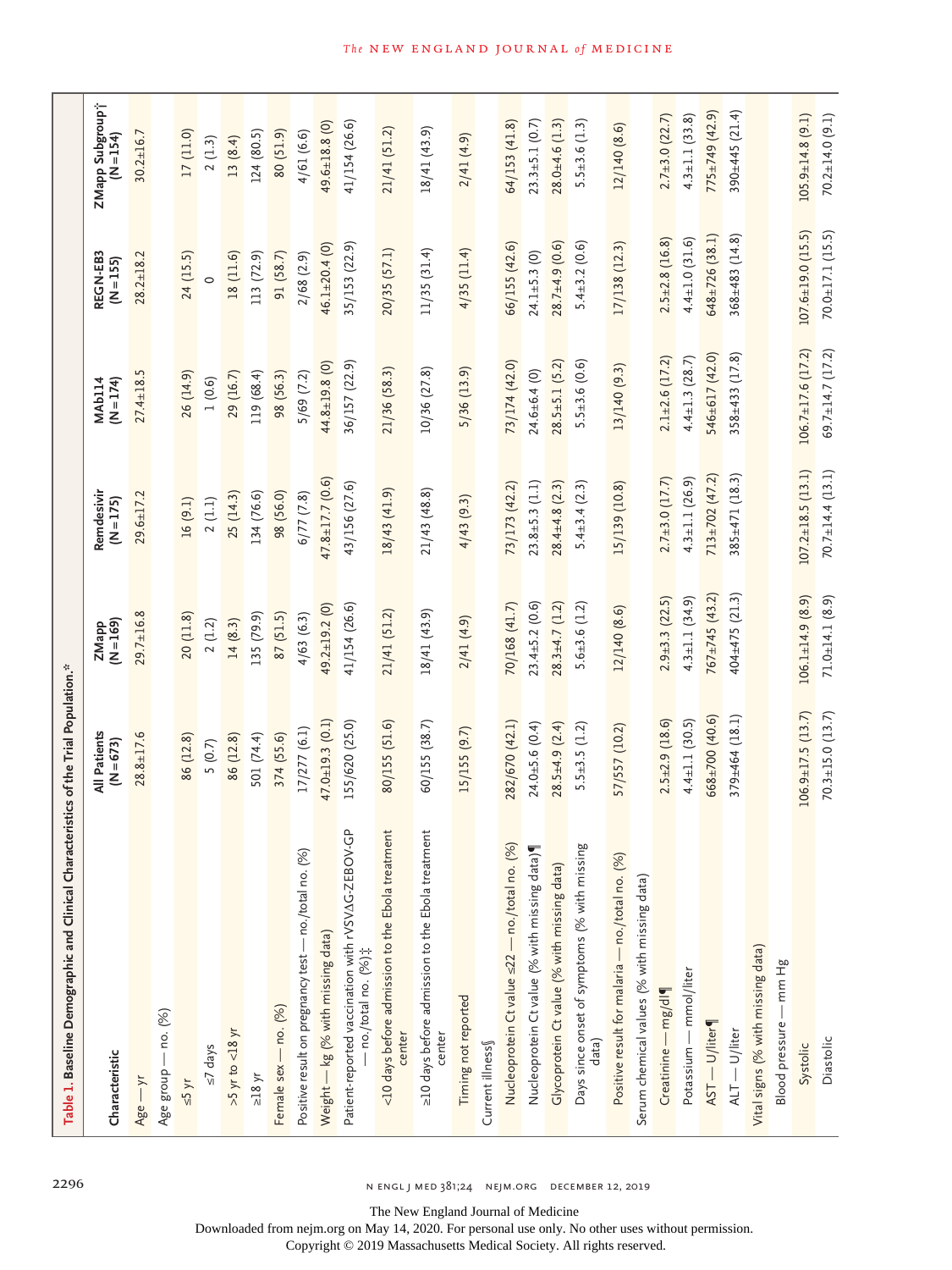| Table 1. Baseline Demographic and Clinical Charad                          | cteristics of the Trial Population.* |                        |                           |                              |                         |                              |
|----------------------------------------------------------------------------|--------------------------------------|------------------------|---------------------------|------------------------------|-------------------------|------------------------------|
| Characteristic                                                             | All Patients<br>$(N = 673)$          | $Z$ Mapp<br>(N = 169)  | Remdesivir<br>$(N = 175)$ | $(N = 174)$<br><b>MAb114</b> | REGN-EB3<br>(N=155)     | ZMapp Subgroup†<br>(N = 154) |
| $Age - yr$                                                                 | $28.8 \pm 17.6$                      | $29.7 \pm 16.8$        | $29.6 \pm 17.2$           | $27.4 \pm 18.5$              | $28.2 \pm 18.2$         | $30.2 \pm 16.7$              |
| Age group — no. (%)                                                        |                                      |                        |                           |                              |                         |                              |
| $\leq$ 5 yr                                                                | 86 (12.8)                            | 20(11.8)               | 16 (9.1)                  | 26 (14.9)                    | 24 (15.5)               | 17 (11.0)                    |
| $\leq$ 7 days                                                              | 5(0.7)                               | 2(1.2)                 | 2(1.1)                    | 1(0.6)                       |                         | 2(1.3)                       |
| $>5$ yr to $<18$ yr                                                        | 86 (12.8)                            | 14(8.3)                | 25 (14.3)                 | 29 (16.7)                    | 18 (11.6)               | 13(8.4)                      |
| $>18 yr$                                                                   | 501 (74.4)                           | 135 (79.9)             | 134 (76.6)                | 119 (68.4)                   | 113 (72.9)              | 124 (80.5)                   |
| Female sex - no. (%)                                                       | 374 (55.6)                           | 87 (51.5)              | 98 (56.0)                 | 98 (56.3)                    | 91 (58.7)               | 80 (51.9)                    |
| Positive result on pregnancy test - no./total no. (%)                      | 17/277 (6.1)                         | 4/63(6.3)              | $6/77$ $(7.8)$            | 5/69 (7.2)                   | 2/68(2.9)               | 4/61 (6.6)                   |
| Weight - kg (% with missing data)                                          | $47.0 \pm 19.3$ (0.1)                | 49.2±19.2 (0)          | $47.8 \pm 17.7$ (0.6)     | 44.8±19.8 (0)                | $46.1 \pm 20.4$ (0)     | 49.6±18.8 (0)                |
| Ĝ<br>Patient-reported vaccination with rVSVAG-ZEBOV-<br>no./total no. (%); | 155/620 (25.0)                       | 41/154 (26.6)          | 43/156 (27.6)             | 36/157 (22.9)                | 35/153 (22.9)           | 41/154 (26.6)                |
| <10 days before admission to the Ebola treatment<br>center                 | 80/155 (51.6)                        | 21/41 (51.2)           | 18/43 (41.9)              | 21/36 (58.3)                 | 20/35 (57.1)            | 21/41 (51.2)                 |
| >10 days before admission to the Ebola treatment<br>center                 | 60/155 (38.7)                        | 18/41 (43.9)           | 21/43 (48.8)              | 10/36 (27.8)                 | 11/35(31.4)             | 18/41(43.9)                  |
| Timing not reported                                                        | 15/155 (9.7)                         | 2/41(4.9)              | 4/43(9.3)                 | 5/36 (13.9)                  | $4/35$ (11.4)           | 2/41(4.9)                    |
| Current illness                                                            |                                      |                        |                           |                              |                         |                              |
| Nucleoprotein Ct value <22 - no./total no. (%)                             | 282/670 (42.1)                       | 70/168 (41.7)          | 73/173 (42.2)             | 73/174 (42.0)                | 66/155 (42.6)           | 64/153 (41.8)                |
| Nucleoprotein Ct value (% with missing data)                               | $24.0 \pm 5.6$ $(0.4)$               | $23.4 \pm 5.2$ (0.6)   | $23.8 \pm 5.3$ (1.1)      | $24.6 \pm 6.4$ (0)           | $24.1 + 5.3$ (0)        | $23.3 \pm 5.1$ (0.7)         |
| Glycoprotein Ct value (% with missing data)                                | $28.5 + 4.9$ (2.4)                   | $28.3 \pm 4.7$ (1.2)   | $28.4 \pm 4.8$ (2.3)      | $28.5 \pm 5.1$ (5.2)         | $28.7 + 4.9(0.6)$       | $28.0 + 4.6(1.3)$            |
| Days since onset of symptoms (% with missing<br>data)                      | $5.5 \pm 3.5 (1.2)$                  | $5.6 \pm 3.6 (1.2)$    | $5.4 \pm 3.4 (2.3)$       | $5.5 + 3.6(0.6)$             | $5.4 \pm 3.2$ $(0.6)$   | $5.5 \pm 3.6$ (1.3)          |
| Positive result for malaria - no./total no. (%)                            | 57/557 (10.2)                        | 12/140 (8.6)           | 15/139 (10.8)             | 13/140 (9.3)                 | 17/138 (12.3)           | 12/140 (8.6)                 |
| Serum chemical values (% with missing data)                                |                                      |                        |                           |                              |                         |                              |
| Creatinine - mg/dl                                                         | $2.5 \pm 2.9$ (18.6)                 | $2.9 \pm 3.3$ (22.5)   | $2.7 \pm 3.0$ (17.7)      | $2.1 + 2.6$ (17.2)           | $2.5 \pm 2.8$ (16.8)    | $2.7 \pm 3.0$ (22.7)         |
| Potassium — mmol/liter                                                     | $4.4 \pm 1.1$ (30.5)                 | $4.3 \pm 1.1 (34.9)$   | $4.3 \pm 1.1 (26.9)$      | $4.4 \pm 1.3$ (28.7)         | $4.4 \pm 1.0 (31.6)$    | $4.3 \pm 1.1$ (33.8)         |
| AST - U/liter¶                                                             | $668 \pm 700$ (40.6)                 | $767 \pm 745$ (43.2)   | $713 \pm 702$ (47.2)      | 546±617 (42.0)               | $648 \pm 726$ (38.1)    | $775 \pm 749$ (42.9)         |
| $AT - U/liter$                                                             | $379 \pm 464$ (18.1)                 | $404 \pm 475$ (21.3)   | $385 \pm 471$ (18.3)      | $358 \pm 433 (17.8)$         | $368 \pm 483$ (14.8)    | 390 $\pm$ 445 (21.4)         |
| Vital signs (% with missing data)                                          |                                      |                        |                           |                              |                         |                              |
| Blood pressure - mm Hg                                                     |                                      |                        |                           |                              |                         |                              |
| Systolic                                                                   | $106.9 \pm 17.5$ (13.7)              | $106.1 \pm 14.9$ (8.9) | $107.2 \pm 18.5$ (13.1)   | $106.7 \pm 17.6$ (17.2)      | $107.6 \pm 19.0$ (15.5) | $105.9 \pm 14.8$ (9.1)       |
| Diastolic                                                                  | $70.3 \pm 15.0$ (13.7)               | $71.0 \pm 14.1$ (8.9)  | $70.7 \pm 14.4$ (13.1)    | $69.7 \pm 14.7$ (17.2)       | $70.0 \pm 17.1$ (15.5)  | $70.2 \pm 14.0$ (9.1)        |

2296 n engl j med 381;24 nejm.org December 12, 2019

The New England Journal of Medicine

Downloaded from nejm.org on May 14, 2020. For personal use only. No other uses without permission.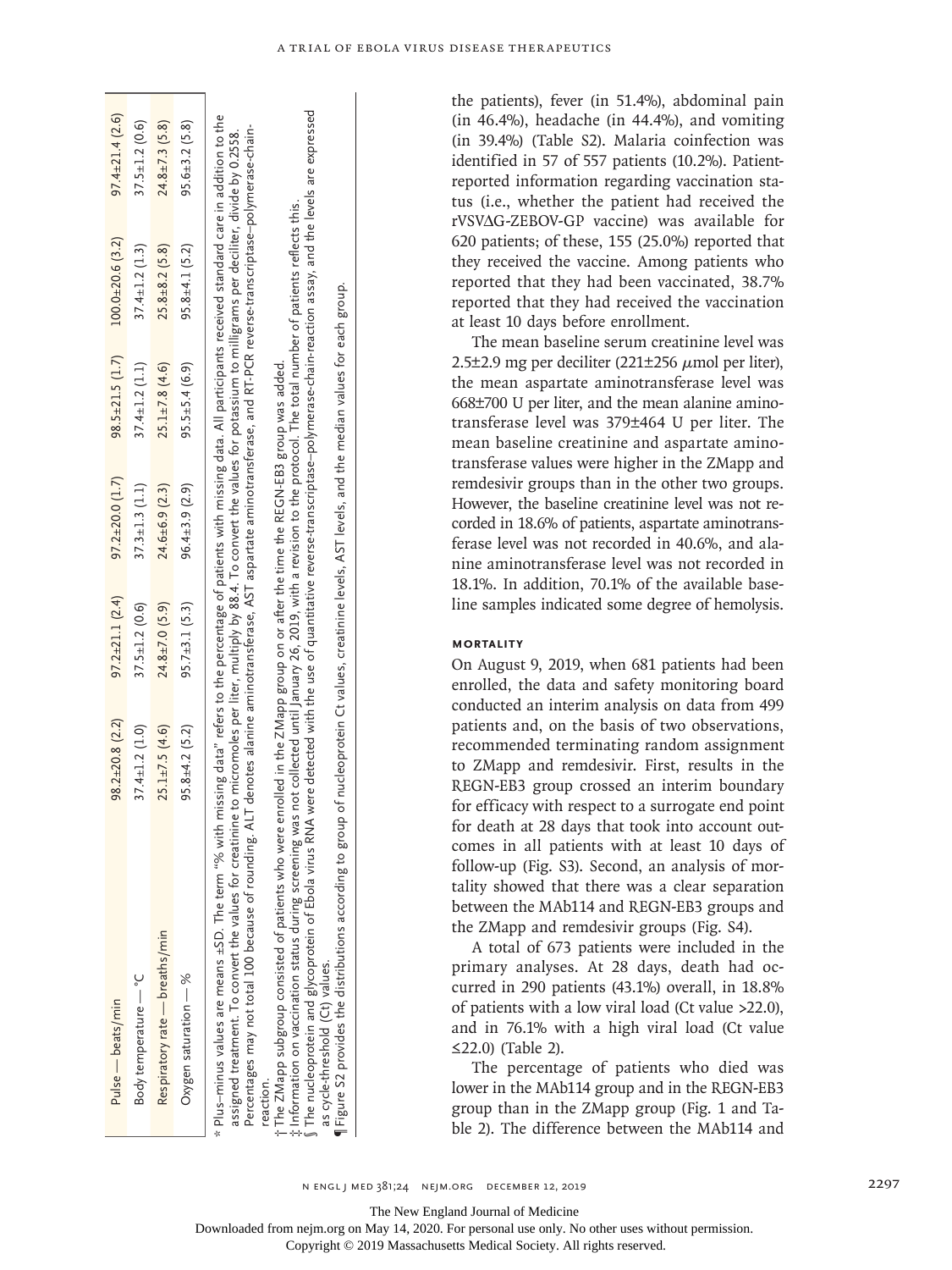| Pulse — beats/min                                                                                                                                                                                                                                                                                                                                                                                                                                                                                                                                                                                                                                                                                                                                                                                                                                                                                                                                        | $98.2 \pm 20.8$ (2.2)                                                             | $97.2 \pm 21.1$ (2.4) | $97.2 \pm 20.0$ $(1.7)$ | $98.5 \pm 21.5$ (1.7) | $100.0 + 20.6(3.2)$                                                                                                                                                                                                                                | $97.4 \pm 21.4(2.6)$ |
|----------------------------------------------------------------------------------------------------------------------------------------------------------------------------------------------------------------------------------------------------------------------------------------------------------------------------------------------------------------------------------------------------------------------------------------------------------------------------------------------------------------------------------------------------------------------------------------------------------------------------------------------------------------------------------------------------------------------------------------------------------------------------------------------------------------------------------------------------------------------------------------------------------------------------------------------------------|-----------------------------------------------------------------------------------|-----------------------|-------------------------|-----------------------|----------------------------------------------------------------------------------------------------------------------------------------------------------------------------------------------------------------------------------------------------|----------------------|
| Body temperature - °C                                                                                                                                                                                                                                                                                                                                                                                                                                                                                                                                                                                                                                                                                                                                                                                                                                                                                                                                    | $37.4 \pm 1.2$ (1.0)                                                              | $37.5 \pm 1.2$ (0.6)  | $37.3 \pm 1.3$ (1.1)    | $37.4 \pm 1.2$ (1.1)  | $37.4 \pm 1.2$ (1.3)                                                                                                                                                                                                                               | $37.5 \pm 1.2$ (0.6) |
| Respiratory rate - breaths/min                                                                                                                                                                                                                                                                                                                                                                                                                                                                                                                                                                                                                                                                                                                                                                                                                                                                                                                           | $25.1 \pm 7.5$ (4.6)                                                              | $24.8 \pm 7.0$ (5.9)  | $24.6 \pm 6.9$ (2.3)    | $25.1 \pm 7.8$ (4.6)  | $25.8 \pm 8.2$ (5.8)                                                                                                                                                                                                                               | $24.8 \pm 7.3$ (5.8) |
| Oxygen saturation - %                                                                                                                                                                                                                                                                                                                                                                                                                                                                                                                                                                                                                                                                                                                                                                                                                                                                                                                                    | $95.8 \pm 4.2$ (5.2)                                                              | $95.7 \pm 3.1(5.3)$   | $96.4 \pm 3.9$ (2.9)    | $95.5 \pm 5.4$ (6.9)  | $95.8 \pm 4.1$ (5.2)                                                                                                                                                                                                                               | $95.6 \pm 3.2$ (5.8) |
| The nucleoprotein and glycoprotein of Ebola virus RNA were detected with the use of quantitative reverse-transcriptase-polymerase-chain-reaction assay, and the levels are expressed<br>* Plus-minus values are means ±SD. The term "% with missing data" refers to the percentage of patients with missing data. All participants received standard care in addition to the<br>assigned treatment. To convert the values for creatinine to micromoles per liter, multiply by 88.4. To convert the values for potassium to milligrams per deciliter, divide by 0.2558.<br>$\P$ Figure S2 provides the distributions according to group of nucleoprotein Ct values, creatinine levels, AST levels, and the median values for each group.<br>Percentages may not total 100 because of rounding.<br>The ZMapp subgroup consisted of patients who we<br>t Information on vaccination status during screening<br>as cycle-threshold (Ct) values.<br>reaction. | re enrolled in the ZMapp group on or after the time the REGN-EB3 group was added. |                       |                         |                       | ALT denotes alanine aminotransferase, AST aspartate aminotransferase, and RT-PCR reverse-transcriptase–polymerase-chain-<br>was not collected until January 26, 2019, with a revision to the protocol. The total number of patients reflects this. |                      |

the patients), fever (in 51.4%), abdominal pain (in 46.4%), headache (in 44.4%), and vomiting (in 39.4%) (Table S2). Malaria coinfection was identified in 57 of 557 patients (10.2%). Patientreported information regarding vaccination status (i.e., whether the patient had received the rVSVΔG-ZEBOV-GP vaccine) was available for 620 patients; of these, 155 (25.0%) reported that they received the vaccine. Among patients who reported that they had been vaccinated, 38.7% reported that they had received the vaccination at least 10 days before enrollment.

The mean baseline serum creatinine level was 2.5 $\pm$ 2.9 mg per deciliter (221 $\pm$ 256  $\mu$ mol per liter), the mean aspartate aminotransferase level was 668±700 U per liter, and the mean alanine aminotransferase level was 379±464 U per liter. The mean baseline creatinine and aspartate aminotransferase values were higher in the ZMapp and remdesivir groups than in the other two groups. However, the baseline creatinine level was not recorded in 18.6% of patients, aspartate aminotransferase level was not recorded in 40.6%, and alanine aminotransferase level was not recorded in 18.1%. In addition, 70.1% of the available baseline samples indicated some degree of hemolysis.

#### **Mortality**

On August 9, 2019, when 681 patients had been enrolled, the data and safety monitoring board conducted an interim analysis on data from 499 patients and, on the basis of two observations, recommended terminating random assignment to ZMapp and remdesivir. First, results in the REGN-EB3 group crossed an interim boundary for efficacy with respect to a surrogate end point for death at 28 days that took into account outcomes in all patients with at least 10 days of follow-up (Fig. S3). Second, an analysis of mortality showed that there was a clear separation between the MAb114 and REGN-EB3 groups and the ZMapp and remdesivir groups (Fig. S4).

A total of 673 patients were included in the primary analyses. At 28 days, death had occurred in 290 patients (43.1%) overall, in 18.8% of patients with a low viral load (Ct value >22.0), and in 76.1% with a high viral load (Ct value ≤22.0) (Table 2).

The percentage of patients who died was lower in the MAb114 group and in the REGN-EB3 group than in the ZMapp group (Fig. 1 and Table 2). The difference between the MAb114 and

The New England Journal of Medicine

Downloaded from nejm.org on May 14, 2020. For personal use only. No other uses without permission.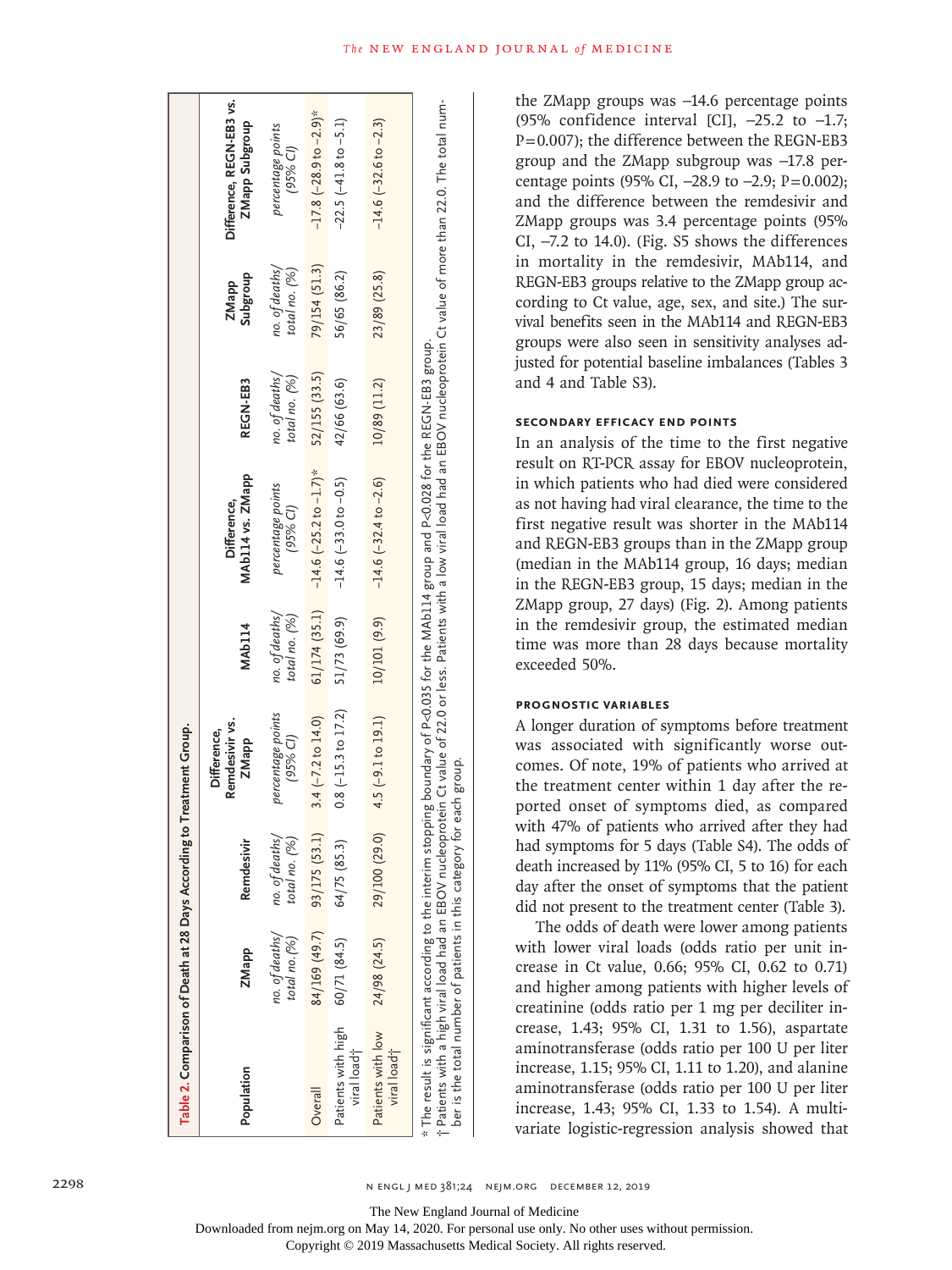| Table 2. Comparison of Death at 28 Days According to Treatment Group. |                                 |                                 |                                               |                                 |                                                                                                                                            |                                 |                                 |                                                                                                                                                                                           |
|-----------------------------------------------------------------------|---------------------------------|---------------------------------|-----------------------------------------------|---------------------------------|--------------------------------------------------------------------------------------------------------------------------------------------|---------------------------------|---------------------------------|-------------------------------------------------------------------------------------------------------------------------------------------------------------------------------------------|
| Population                                                            | ZMapp                           | Remdesivir                      | Remdesivir vs.<br>Difference,<br><b>ZMapp</b> | <b>MAb114</b>                   | MAb114 vs. ZMapp<br>Difference,                                                                                                            | REGN-EB3                        | <b>Subgroup</b><br>ZMapp        | Difference, REGN-EB3 vs.<br>ZMapp Subgroup                                                                                                                                                |
|                                                                       | no. of deaths/<br>total no. (%) | no. of deaths,<br>total no. (%) | percentage points<br>$(95%$ CI)               | no. of deaths/<br>total no. (%) | percentage points<br>(95% C1)                                                                                                              | no. of deaths,<br>total no. (%) | no. of deaths/<br>total no. (%) | percentage points<br>$(95%$ CI)                                                                                                                                                           |
| Overall                                                               | 84/169 (49.7)                   | 93/175 (53.1)                   | $3.4 (-7.2 to 14.0)$                          | 61/174(35.1)                    | $-14.6$ (-25.2 to $-1.7$ )*                                                                                                                | 52/155 (33.5)                   | 79/154 (51.3)                   | $-17.8$ $(-28.9$ to $-2.9)$ *                                                                                                                                                             |
| Patients with high<br>viral load;                                     | 60/71(84.5)                     | 64/75(85.3)                     | $0.8$ ( $-15.3$ to $17.2$ )                   | 51/73 (69.9)                    | $-14.6$ $(-33.0$ to $-0.5)$                                                                                                                | 42/66 (63.6)                    | 56/65 (86.2)                    | $-22.5$ $(-41.8$ to $-5.1)$                                                                                                                                                               |
| Patients with low<br>viral load <sup>+</sup>                          | 24/98 (24.5)                    |                                 | $(1.61$ ob $(29.0)$ 4.5 (-9.1 to 19.1)        | 10/101 (9.9)                    | $-14.6$ $(-32.4$ to $-2.6)$                                                                                                                | 10/89 (11.2)                    | 23/89 (25.8)                    | $-14.6$ ( $-32.6$ to $-2.3$ )                                                                                                                                                             |
| ber is the total number of patients in this category for each group.  |                                 |                                 |                                               |                                 | * The result is significant according to the interim stopping boundary of P<0.035 for the MAb114 group and P<0.028 for the REGN-EB3 group. |                                 |                                 | t Patients with a high viral load had an EBOV nucleoprotein Ct value of 22.0 or less. Patients with a low viral load had an EBOV nucleoprotein Ct value of more than 22.0. The total num- |

the ZMapp groups was −14.6 percentage points (95% confidence interval [CI], −25.2 to −1.7; P=0.007); the difference between the REGN-EB3 group and the ZMapp subgroup was −17.8 per centage points (95% CI, -28.9 to -2.9; P=0.002); and the difference between the remdesivir and ZMapp groups was 3.4 percentage points (95% CI, −7.2 to 14.0). (Fig. S5 shows the differences in mortality in the remdesivir, MAb114, and REGN-EB3 groups relative to the ZMapp group ac cording to Ct value, age, sex, and site.) The survival benefits seen in the MAb114 and REGN-EB3 groups were also seen in sensitivity analyses ad justed for potential baseline imbalances (Tables 3 and 4 and Table S3).

## **Secondary Efficacy End Points**

In an analysis of the time to the first negative result on RT-PCR assay for EBOV nucleoprotein, in which patients who had died were considered as not having had viral clearance, the time to the first negative result was shorter in the MAb114 and REGN-EB3 groups than in the ZMapp group (median in the MAb114 group, 16 days; median in the REGN-EB3 group, 15 days; median in the ZMapp group, 27 days) (Fig. 2). Among patients in the remdesivir group, the estimated median time was more than 28 days because mortality exceeded 50%.

# **Prognostic Variables**

A longer duration of symptoms before treatment was associated with significantly worse outcomes. Of note, 19% of patients who arrived at the treatment center within 1 day after the re ported onset of symptoms died, as compared with 47% of patients who arrived after they had had symptoms for 5 days (Table S4). The odds of death increased by 11% (95% CI, 5 to 16) for each day after the onset of symptoms that the patient did not present to the treatment center (Table 3).

The odds of death were lower among patients with lower viral loads (odds ratio per unit in crease in Ct value, 0.66; 95% CI, 0.62 to 0.71) and higher among patients with higher levels of creatinine (odds ratio per 1 mg per deciliter in crease, 1.43; 95% CI, 1.31 to 1.56), aspartate aminotransferase (odds ratio per 100 U per liter increase, 1.15; 95% CI, 1.11 to 1.20), and alanine aminotransferase (odds ratio per 100 U per liter increase, 1.43; 95% CI, 1.33 to 1.54). A multi variate logistic-regression analysis showed that

The New England Journal of Medicine

Downloaded from nejm.org on May 14, 2020. For personal use only. No other uses without permission.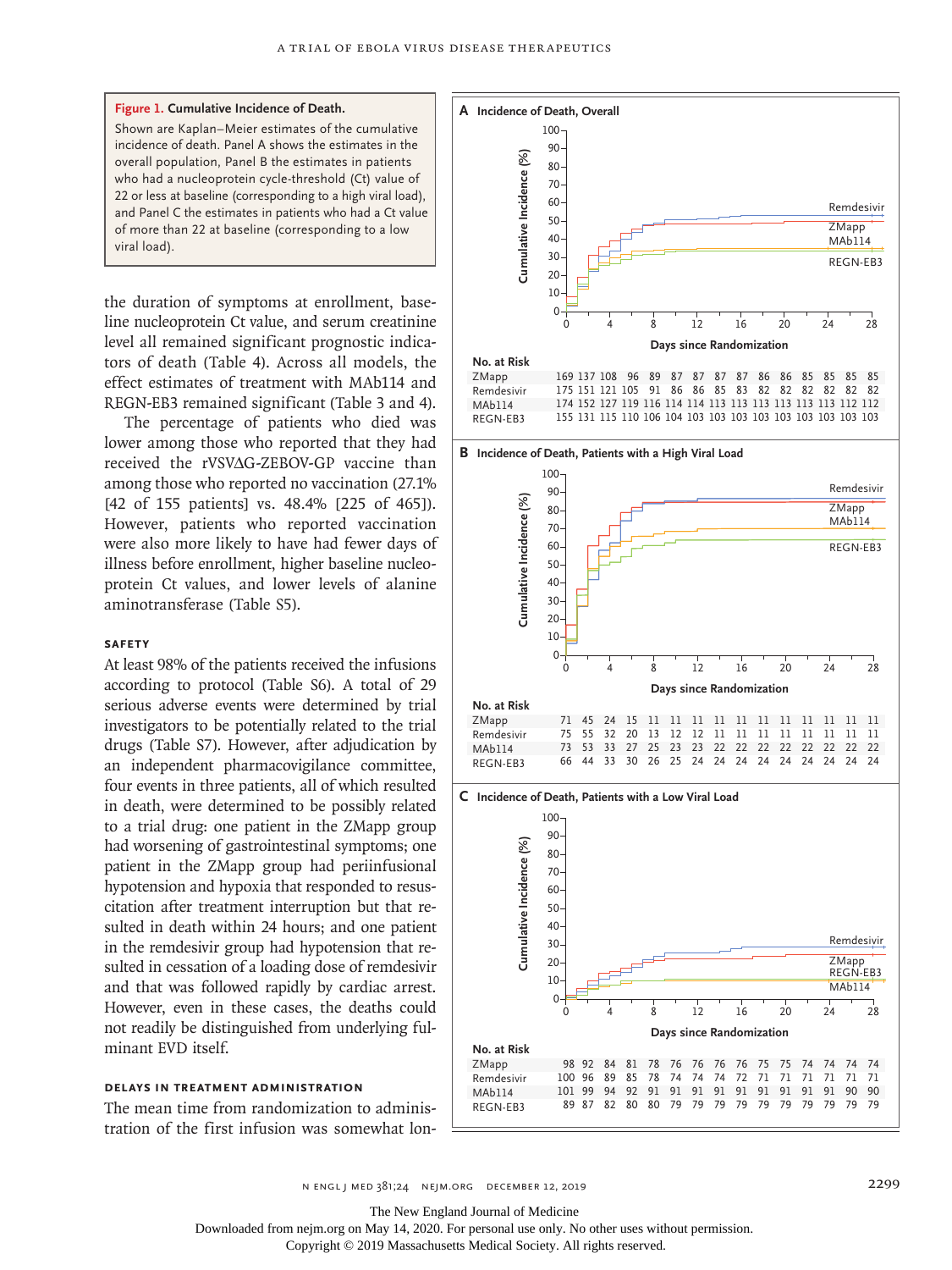

the duration of symptoms at enrollment, baseline nucleoprotein Ct value, and serum creatinine level all remained significant prognostic indicators of death (Table 4). Across all models, the effect estimates of treatment with MAb114 and REGN-EB3 remained significant (Table 3 and 4).

The percentage of patients who died was lower among those who reported that they had received the rVSV∆G-ZEBOV-GP vaccine than among those who reported no vaccination (27.1% [42 of 155 patients] vs. 48.4% [225 of 465]). However, patients who reported vaccination were also more likely to have had fewer days of illness before enrollment, higher baseline nucleoprotein Ct values, and lower levels of alanine aminotransferase (Table S5).

#### **Safety**

At least 98% of the patients received the infusions according to protocol (Table S6). A total of 29 serious adverse events were determined by trial investigators to be potentially related to the trial drugs (Table S7). However, after adjudication by an independent pharmacovigilance committee, four events in three patients, all of which resulted in death, were determined to be possibly related to a trial drug: one patient in the ZMapp group had worsening of gastrointestinal symptoms; one patient in the ZMapp group had periinfusional hypotension and hypoxia that responded to resuscitation after treatment interruption but that resulted in death within 24 hours; and one patient in the remdesivir group had hypotension that resulted in cessation of a loading dose of remdesivir and that was followed rapidly by cardiac arrest. However, even in these cases, the deaths could not readily be distinguished from underlying fulminant EVD itself.

#### **Delays in Treatment Administration**

The mean time from randomization to administration of the first infusion was somewhat lon-



**B Incidence of Death, Patients with a High Viral Load**



**C Incidence of Death, Patients with a Low Viral Load**



n engl j med 381;24 nejm.org December 12, 2019 2299

The New England Journal of Medicine

Downloaded from nejm.org on May 14, 2020. For personal use only. No other uses without permission.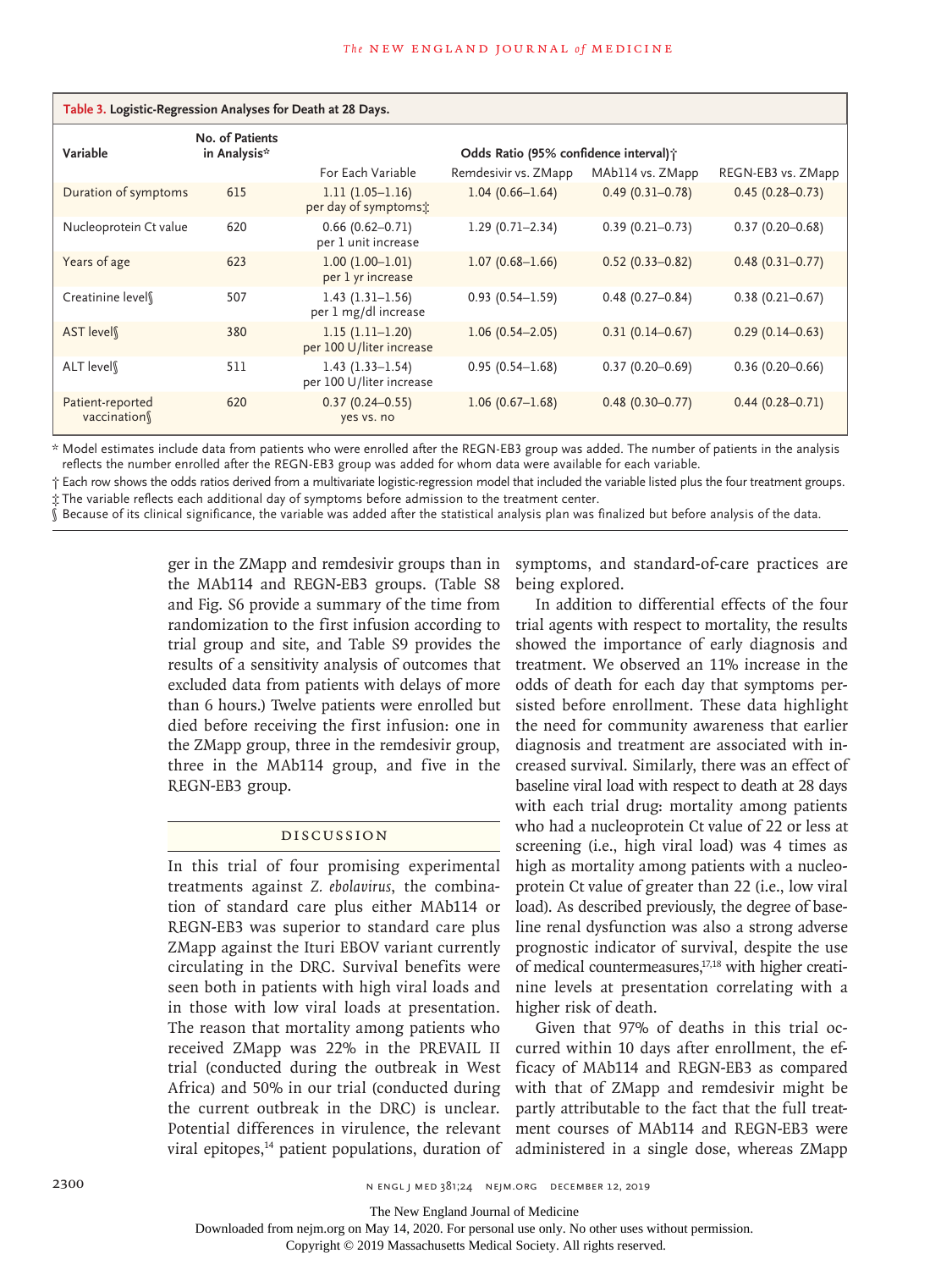| Table 3. Logistic-Regression Analyses for Death at 28 Days. |                                 |                                                 |                                        |                     |                     |  |
|-------------------------------------------------------------|---------------------------------|-------------------------------------------------|----------------------------------------|---------------------|---------------------|--|
| Variable                                                    | No. of Patients<br>in Analysis* |                                                 | Odds Ratio (95% confidence interval) ; |                     |                     |  |
|                                                             |                                 | For Each Variable                               | Remdesivir vs. ZMapp                   | MAb114 vs. ZMapp    | REGN-EB3 vs. ZMapp  |  |
| Duration of symptoms                                        | 615                             | $1.11(1.05-1.16)$<br>per day of symptoms:       | $1.04(0.66 - 1.64)$                    | $0.49(0.31 - 0.78)$ | $0.45(0.28 - 0.73)$ |  |
| Nucleoprotein Ct value                                      | 620                             | $0.66(0.62 - 0.71)$<br>per 1 unit increase      | $1.29(0.71 - 2.34)$                    | $0.39(0.21 - 0.73)$ | $0.37(0.20 - 0.68)$ |  |
| Years of age                                                | 623                             | $1.00(1.00-1.01)$<br>per 1 yr increase          | $1.07(0.68 - 1.66)$                    | $0.52(0.33 - 0.82)$ | $0.48(0.31 - 0.77)$ |  |
| Creatinine level                                            | 507                             | $1.43(1.31-1.56)$<br>per 1 mg/dl increase       | $0.93(0.54 - 1.59)$                    | $0.48(0.27 - 0.84)$ | $0.38(0.21 - 0.67)$ |  |
| AST level                                                   | 380                             | $1.15(1.11-1.20)$<br>per 100 U/liter increase   | $1.06(0.54 - 2.05)$                    | $0.31(0.14 - 0.67)$ | $0.29(0.14 - 0.63)$ |  |
| ALT level                                                   | 511                             | $1.43(1.33 - 1.54)$<br>per 100 U/liter increase | $0.95(0.54 - 1.68)$                    | $0.37(0.20 - 0.69)$ | $0.36(0.20 - 0.66)$ |  |
| Patient-reported<br>vaccination                             | 620                             | $0.37(0.24 - 0.55)$<br>yes vs. no               | $1.06(0.67 - 1.68)$                    | $0.48(0.30 - 0.77)$ | $0.44(0.28 - 0.71)$ |  |

\* Model estimates include data from patients who were enrolled after the REGN-EB3 group was added. The number of patients in the analysis reflects the number enrolled after the REGN-EB3 group was added for whom data were available for each variable.

† Each row shows the odds ratios derived from a multivariate logistic-regression model that included the variable listed plus the four treatment groups. ‡ The variable reflects each additional day of symptoms before admission to the treatment center.

§ Because of its clinical significance, the variable was added after the statistical analysis plan was finalized but before analysis of the data.

ger in the ZMapp and remdesivir groups than in the MAb114 and REGN-EB3 groups. (Table S8 and Fig. S6 provide a summary of the time from randomization to the first infusion according to trial group and site, and Table S9 provides the results of a sensitivity analysis of outcomes that excluded data from patients with delays of more than 6 hours.) Twelve patients were enrolled but died before receiving the first infusion: one in the ZMapp group, three in the remdesivir group, three in the MAb114 group, and five in the REGN-EB3 group.

#### Discussion

In this trial of four promising experimental treatments against *Z. ebolavirus*, the combination of standard care plus either MAb114 or REGN-EB3 was superior to standard care plus ZMapp against the Ituri EBOV variant currently circulating in the DRC. Survival benefits were seen both in patients with high viral loads and in those with low viral loads at presentation. The reason that mortality among patients who received ZMapp was 22% in the PREVAIL II trial (conducted during the outbreak in West Africa) and 50% in our trial (conducted during the current outbreak in the DRC) is unclear. Potential differences in virulence, the relevant viral epitopes,<sup>14</sup> patient populations, duration of symptoms, and standard-of-care practices are being explored.

In addition to differential effects of the four trial agents with respect to mortality, the results showed the importance of early diagnosis and treatment. We observed an 11% increase in the odds of death for each day that symptoms persisted before enrollment. These data highlight the need for community awareness that earlier diagnosis and treatment are associated with increased survival. Similarly, there was an effect of baseline viral load with respect to death at 28 days with each trial drug: mortality among patients who had a nucleoprotein Ct value of 22 or less at screening (i.e., high viral load) was 4 times as high as mortality among patients with a nucleoprotein Ct value of greater than 22 (i.e., low viral load). As described previously, the degree of baseline renal dysfunction was also a strong adverse prognostic indicator of survival, despite the use of medical countermeasures,<sup>17,18</sup> with higher creatinine levels at presentation correlating with a higher risk of death.

Given that 97% of deaths in this trial occurred within 10 days after enrollment, the efficacy of MAb114 and REGN-EB3 as compared with that of ZMapp and remdesivir might be partly attributable to the fact that the full treatment courses of MAb114 and REGN-EB3 were administered in a single dose, whereas ZMapp

The New England Journal of Medicine

Downloaded from nejm.org on May 14, 2020. For personal use only. No other uses without permission.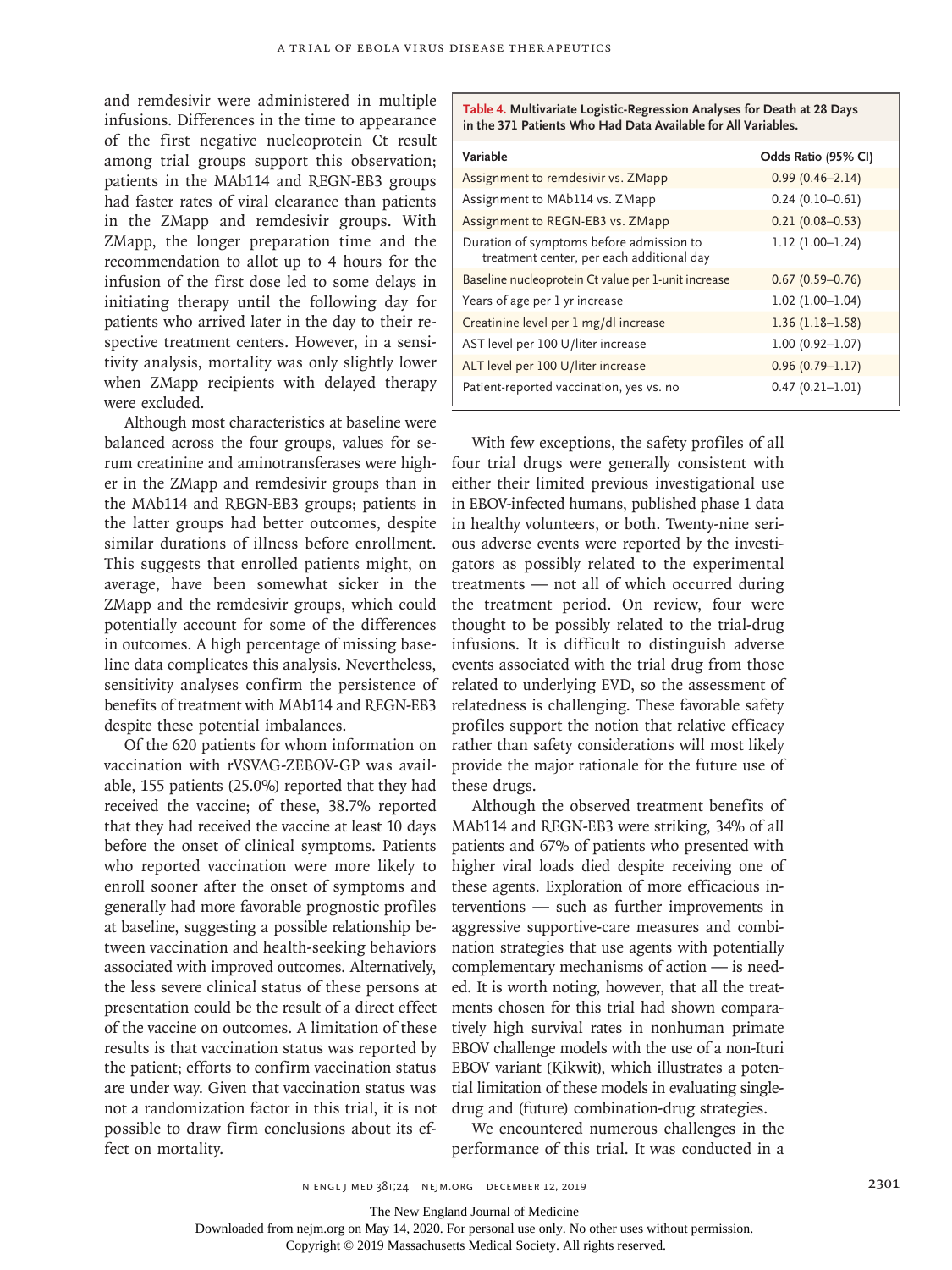and remdesivir were administered in multiple infusions. Differences in the time to appearance of the first negative nucleoprotein Ct result among trial groups support this observation; patients in the MAb114 and REGN-EB3 groups had faster rates of viral clearance than patients in the ZMapp and remdesivir groups. With ZMapp, the longer preparation time and the recommendation to allot up to 4 hours for the infusion of the first dose led to some delays in initiating therapy until the following day for patients who arrived later in the day to their respective treatment centers. However, in a sensitivity analysis, mortality was only slightly lower when ZMapp recipients with delayed therapy were excluded.

Although most characteristics at baseline were balanced across the four groups, values for serum creatinine and aminotransferases were higher in the ZMapp and remdesivir groups than in the MAb114 and REGN-EB3 groups; patients in the latter groups had better outcomes, despite similar durations of illness before enrollment. This suggests that enrolled patients might, on average, have been somewhat sicker in the ZMapp and the remdesivir groups, which could potentially account for some of the differences in outcomes. A high percentage of missing baseline data complicates this analysis. Nevertheless, sensitivity analyses confirm the persistence of benefits of treatment with MAb114 and REGN-EB3 despite these potential imbalances.

Of the 620 patients for whom information on vaccination with rVSV∆G-ZEBOV-GP was available, 155 patients (25.0%) reported that they had received the vaccine; of these, 38.7% reported that they had received the vaccine at least 10 days before the onset of clinical symptoms. Patients who reported vaccination were more likely to enroll sooner after the onset of symptoms and generally had more favorable prognostic profiles at baseline, suggesting a possible relationship between vaccination and health-seeking behaviors associated with improved outcomes. Alternatively, the less severe clinical status of these persons at presentation could be the result of a direct effect of the vaccine on outcomes. A limitation of these results is that vaccination status was reported by the patient; efforts to confirm vaccination status are under way. Given that vaccination status was not a randomization factor in this trial, it is not possible to draw firm conclusions about its effect on mortality.

**Table 4. Multivariate Logistic-Regression Analyses for Death at 28 Days in the 371 Patients Who Had Data Available for All Variables.**

| Variable                                                                              | Odds Ratio (95% CI) |
|---------------------------------------------------------------------------------------|---------------------|
| Assignment to remdesivir vs. ZMapp                                                    | $0.99(0.46 - 2.14)$ |
| Assignment to MAb114 vs. ZMapp                                                        | $0.24(0.10-0.61)$   |
| Assignment to REGN-EB3 vs. ZMapp                                                      | $0.21(0.08 - 0.53)$ |
| Duration of symptoms before admission to<br>treatment center, per each additional day | $1.12(1.00-1.24)$   |
| Baseline nucleoprotein Ct value per 1-unit increase                                   | $0.67(0.59 - 0.76)$ |
| Years of age per 1 yr increase                                                        | $1.02$ (1.00-1.04)  |
| Creatinine level per 1 mg/dl increase                                                 | $1.36(1.18-1.58)$   |
| AST level per 100 U/liter increase                                                    | $1.00(0.92 - 1.07)$ |
| ALT level per 100 U/liter increase                                                    | $0.96(0.79 - 1.17)$ |
| Patient-reported vaccination, yes vs. no                                              | $0.47(0.21 - 1.01)$ |

With few exceptions, the safety profiles of all four trial drugs were generally consistent with either their limited previous investigational use in EBOV-infected humans, published phase 1 data in healthy volunteers, or both. Twenty-nine serious adverse events were reported by the investigators as possibly related to the experimental treatments — not all of which occurred during the treatment period. On review, four were thought to be possibly related to the trial-drug infusions. It is difficult to distinguish adverse events associated with the trial drug from those related to underlying EVD, so the assessment of relatedness is challenging. These favorable safety profiles support the notion that relative efficacy rather than safety considerations will most likely provide the major rationale for the future use of these drugs.

Although the observed treatment benefits of MAb114 and REGN-EB3 were striking, 34% of all patients and 67% of patients who presented with higher viral loads died despite receiving one of these agents. Exploration of more efficacious interventions — such as further improvements in aggressive supportive-care measures and combination strategies that use agents with potentially complementary mechanisms of action — is needed. It is worth noting, however, that all the treatments chosen for this trial had shown comparatively high survival rates in nonhuman primate EBOV challenge models with the use of a non-Ituri EBOV variant (Kikwit), which illustrates a potential limitation of these models in evaluating singledrug and (future) combination-drug strategies.

We encountered numerous challenges in the performance of this trial. It was conducted in a

The New England Journal of Medicine

Downloaded from nejm.org on May 14, 2020. For personal use only. No other uses without permission.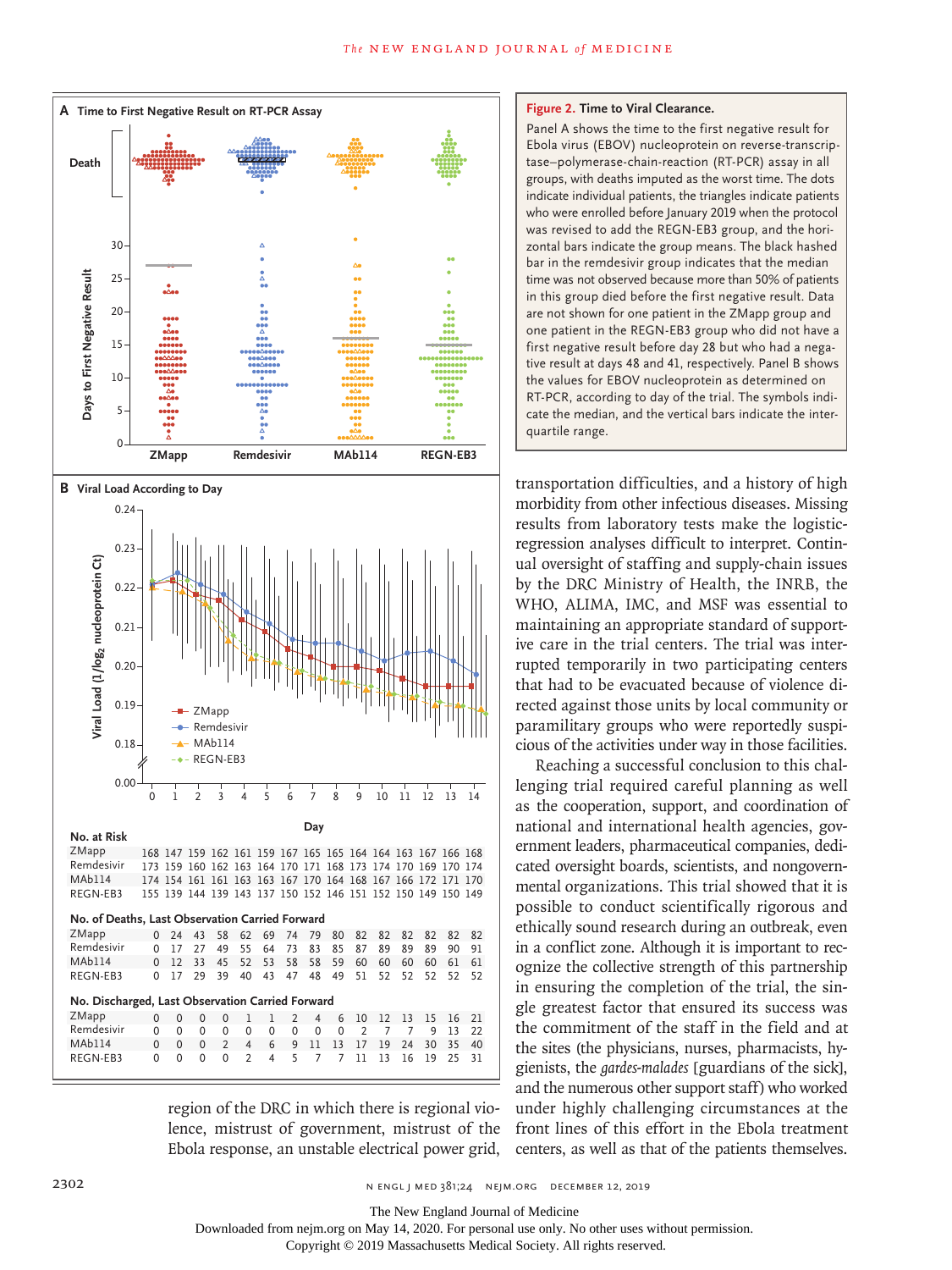

region of the DRC in which there is regional violence, mistrust of government, mistrust of the Ebola response, an unstable electrical power grid,

#### **Figure 2. Time to Viral Clearance.**

Panel A shows the time to the first negative result for Ebola virus (EBOV) nucleoprotein on reverse-transcriptase–polymerase-chain-reaction (RT-PCR) assay in all groups, with deaths imputed as the worst time. The dots indicate individual patients, the triangles indicate patients who were enrolled before January 2019 when the protocol was revised to add the REGN-EB3 group, and the horizontal bars indicate the group means. The black hashed bar in the remdesivir group indicates that the median time was not observed because more than 50% of patients in this group died before the first negative result. Data are not shown for one patient in the ZMapp group and one patient in the REGN-EB3 group who did not have a first negative result before day 28 but who had a negative result at days 48 and 41, respectively. Panel B shows the values for EBOV nucleoprotein as determined on RT-PCR, according to day of the trial. The symbols indicate the median, and the vertical bars indicate the interquartile range.

transportation difficulties, and a history of high morbidity from other infectious diseases. Missing results from laboratory tests make the logisticregression analyses difficult to interpret. Continual oversight of staffing and supply-chain issues by the DRC Ministry of Health, the INRB, the WHO, ALIMA, IMC, and MSF was essential to maintaining an appropriate standard of supportive care in the trial centers. The trial was interrupted temporarily in two participating centers that had to be evacuated because of violence directed against those units by local community or paramilitary groups who were reportedly suspicious of the activities under way in those facilities.

Reaching a successful conclusion to this challenging trial required careful planning as well as the cooperation, support, and coordination of national and international health agencies, government leaders, pharmaceutical companies, dedicated oversight boards, scientists, and nongovernmental organizations. This trial showed that it is possible to conduct scientifically rigorous and ethically sound research during an outbreak, even in a conflict zone. Although it is important to recognize the collective strength of this partnership in ensuring the completion of the trial, the single greatest factor that ensured its success was the commitment of the staff in the field and at the sites (the physicians, nurses, pharmacists, hygienists, the *gardes-malades* [guardians of the sick], and the numerous other support staff) who worked under highly challenging circumstances at the front lines of this effort in the Ebola treatment centers, as well as that of the patients themselves.

The New England Journal of Medicine

Downloaded from nejm.org on May 14, 2020. For personal use only. No other uses without permission.